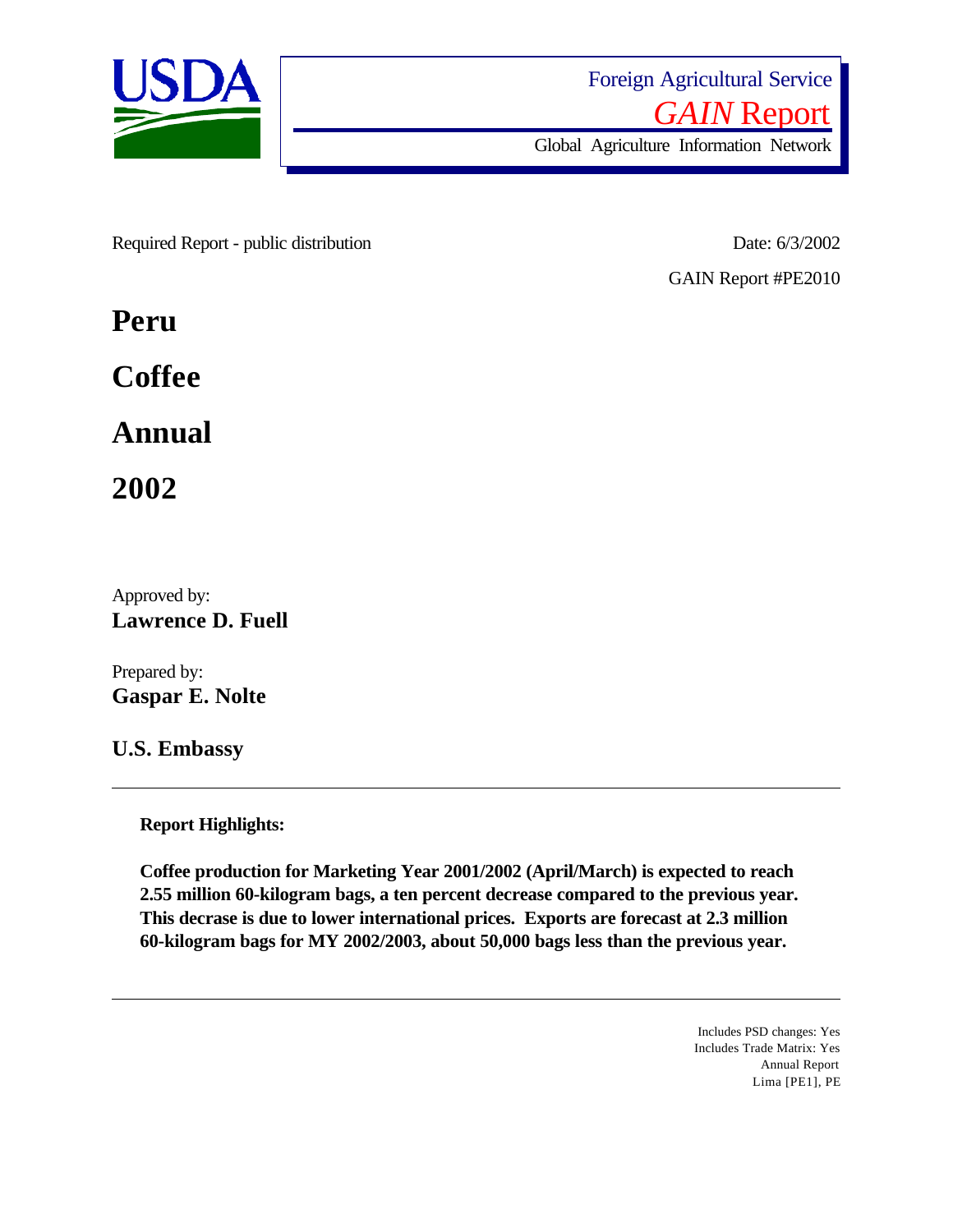

Required Report - public distribution Date: 6/3/2002

GAIN Report #PE2010

**Peru**

**Coffee**

**Annual**

**2002**

Approved by: **Lawrence D. Fuell**

Prepared by: **Gaspar E. Nolte**

**U.S. Embassy**

**Report Highlights:** 

**Coffee production for Marketing Year 2001/2002 (April/March) is expected to reach 2.55 million 60-kilogram bags, a ten percent decrease compared to the previous year. This decrase is due to lower international prices. Exports are forecast at 2.3 million 60-kilogram bags for MY 2002/2003, about 50,000 bags less than the previous year.**

> Includes PSD changes: Yes Includes Trade Matrix: Yes Annual Report Lima [PE1], PE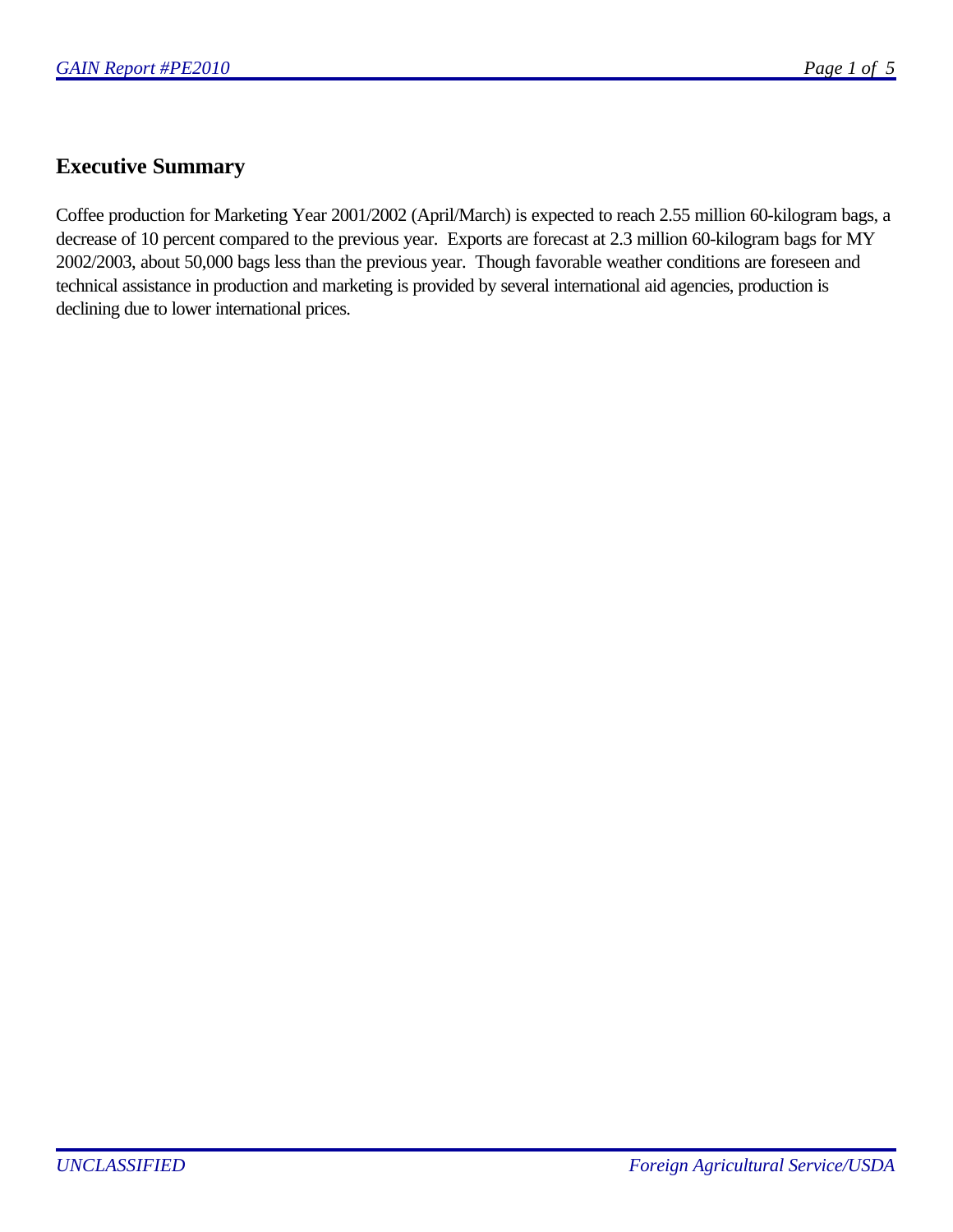#### **Executive Summary**

Coffee production for Marketing Year 2001/2002 (April/March) is expected to reach 2.55 million 60-kilogram bags, a decrease of 10 percent compared to the previous year. Exports are forecast at 2.3 million 60-kilogram bags for MY 2002/2003, about 50,000 bags less than the previous year. Though favorable weather conditions are foreseen and technical assistance in production and marketing is provided by several international aid agencies, production is declining due to lower international prices.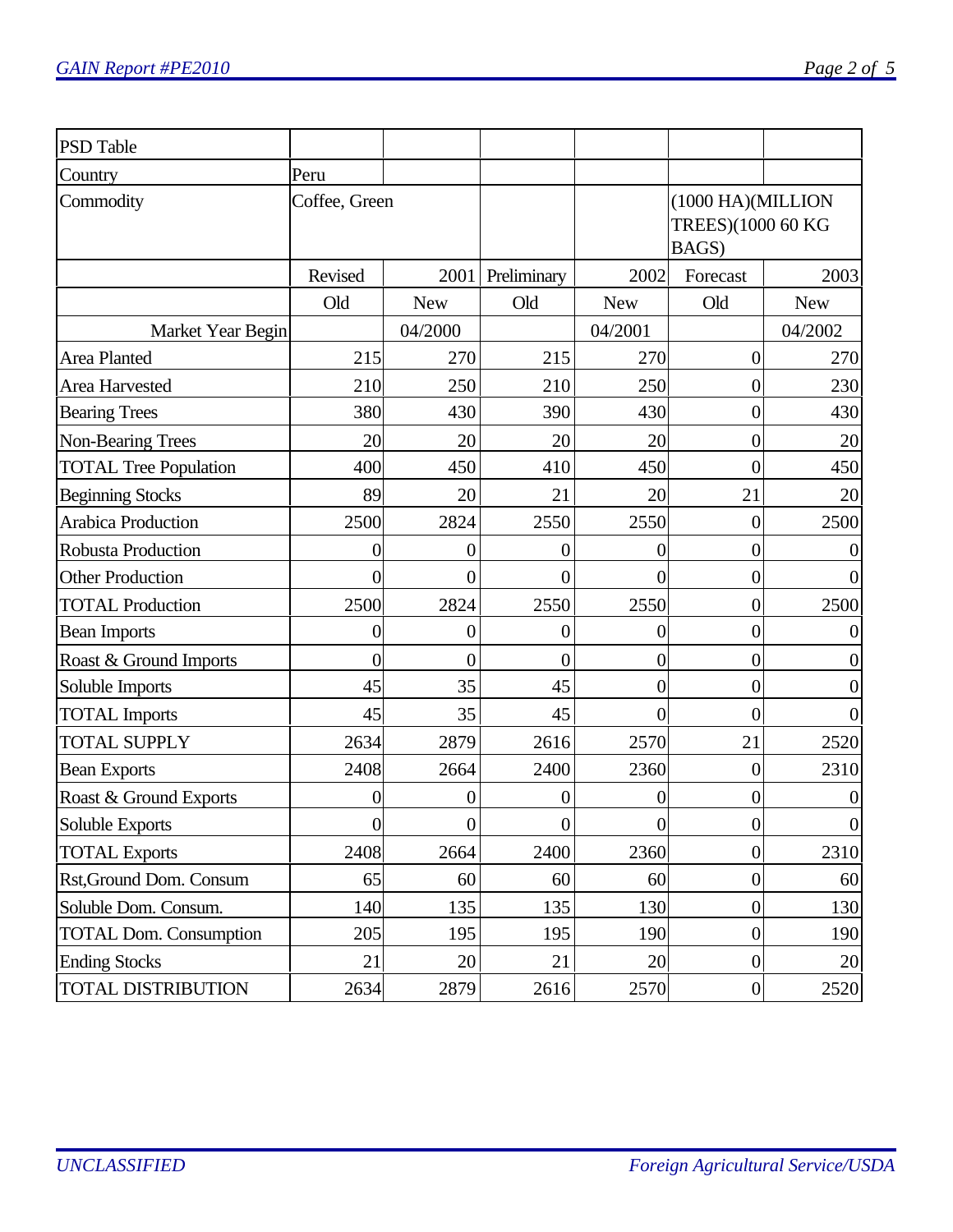| <b>PSD Table</b>              |                |                  |                  |                |                                                 |                |
|-------------------------------|----------------|------------------|------------------|----------------|-------------------------------------------------|----------------|
| Country                       | Peru           |                  |                  |                |                                                 |                |
| Commodity                     | Coffee, Green  |                  |                  |                | (1000 HA)(MILLION<br>TREES)(1000 60 KG<br>BAGS) |                |
|                               | Revised        | 2001             | Preliminary      | 2002           | Forecast                                        | 2003           |
|                               | Old            | <b>New</b>       | Old              | <b>New</b>     | Old                                             | <b>New</b>     |
| Market Year Begin             |                | 04/2000          |                  | 04/2001        |                                                 | 04/2002        |
| Area Planted                  | 215            | 270              | 215              | 270            | $\boldsymbol{0}$                                | 270            |
| Area Harvested                | 210            | 250              | 210              | 250            | $\boldsymbol{0}$                                | 230            |
| <b>Bearing Trees</b>          | 380            | 430              | 390              | 430            | $\overline{0}$                                  | 430            |
| Non-Bearing Trees             | 20             | 20               | 20               | 20             | $\boldsymbol{0}$                                | 20             |
| <b>TOTAL Tree Population</b>  | 400            | 450              | 410              | 450            | $\overline{0}$                                  | 450            |
| <b>Beginning Stocks</b>       | 89             | 20               | 21               | 20             | 21                                              | 20             |
| <b>Arabica Production</b>     | 2500           | 2824             | 2550             | 2550           | $\boldsymbol{0}$                                | 2500           |
| <b>Robusta Production</b>     | $\overline{0}$ | 0                | 0                | 0              | $\overline{0}$                                  |                |
| <b>Other Production</b>       | $\overline{0}$ | $\overline{0}$   | $\overline{0}$   | $\overline{0}$ | $\overline{0}$                                  | $\overline{0}$ |
| <b>TOTAL Production</b>       | 2500           | 2824             | 2550             | 2550           | $\overline{0}$                                  | 2500           |
| <b>Bean Imports</b>           | $\overline{0}$ | $\boldsymbol{0}$ | 0                | 0              | $\overline{0}$                                  | $\theta$       |
| Roast & Ground Imports        | $\overline{0}$ | $\overline{0}$   | $\overline{0}$   | $\overline{0}$ | $\overline{0}$                                  | $\theta$       |
| Soluble Imports               | 45             | 35               | 45               | $\overline{0}$ | 0                                               | $\theta$       |
| <b>TOTAL</b> Imports          | 45             | 35               | 45               | $\overline{0}$ | $\overline{0}$                                  | $\theta$       |
| <b>TOTAL SUPPLY</b>           | 2634           | 2879             | 2616             | 2570           | 21                                              | 2520           |
| <b>Bean Exports</b>           | 2408           | 2664             | 2400             | 2360           | $\boldsymbol{0}$                                | 2310           |
| Roast & Ground Exports        | 0              | 0                | $\boldsymbol{0}$ | 0              | 0                                               | $\theta$       |
| Soluble Exports               | $\Omega$       | $\boldsymbol{0}$ | $\theta$         | $\Omega$       | $\Omega$                                        | $\Omega$       |
| <b>TOTAL Exports</b>          | 2408           | 2664             | 2400             | 2360           | $\boldsymbol{0}$                                | 2310           |
| Rst, Ground Dom. Consum       | 65             | 60               | 60               | 60             | $\boldsymbol{0}$                                | 60             |
| Soluble Dom. Consum.          | 140            | 135              | 135              | 130            | $\boldsymbol{0}$                                | 130            |
| <b>TOTAL Dom. Consumption</b> | 205            | 195              | 195              | 190            | $\boldsymbol{0}$                                | 190            |
| <b>Ending Stocks</b>          | 21             | 20               | 21               | 20             | $\boldsymbol{0}$                                | 20             |
| <b>TOTAL DISTRIBUTION</b>     | 2634           | 2879             | 2616             | 2570           | $\boldsymbol{0}$                                | 2520           |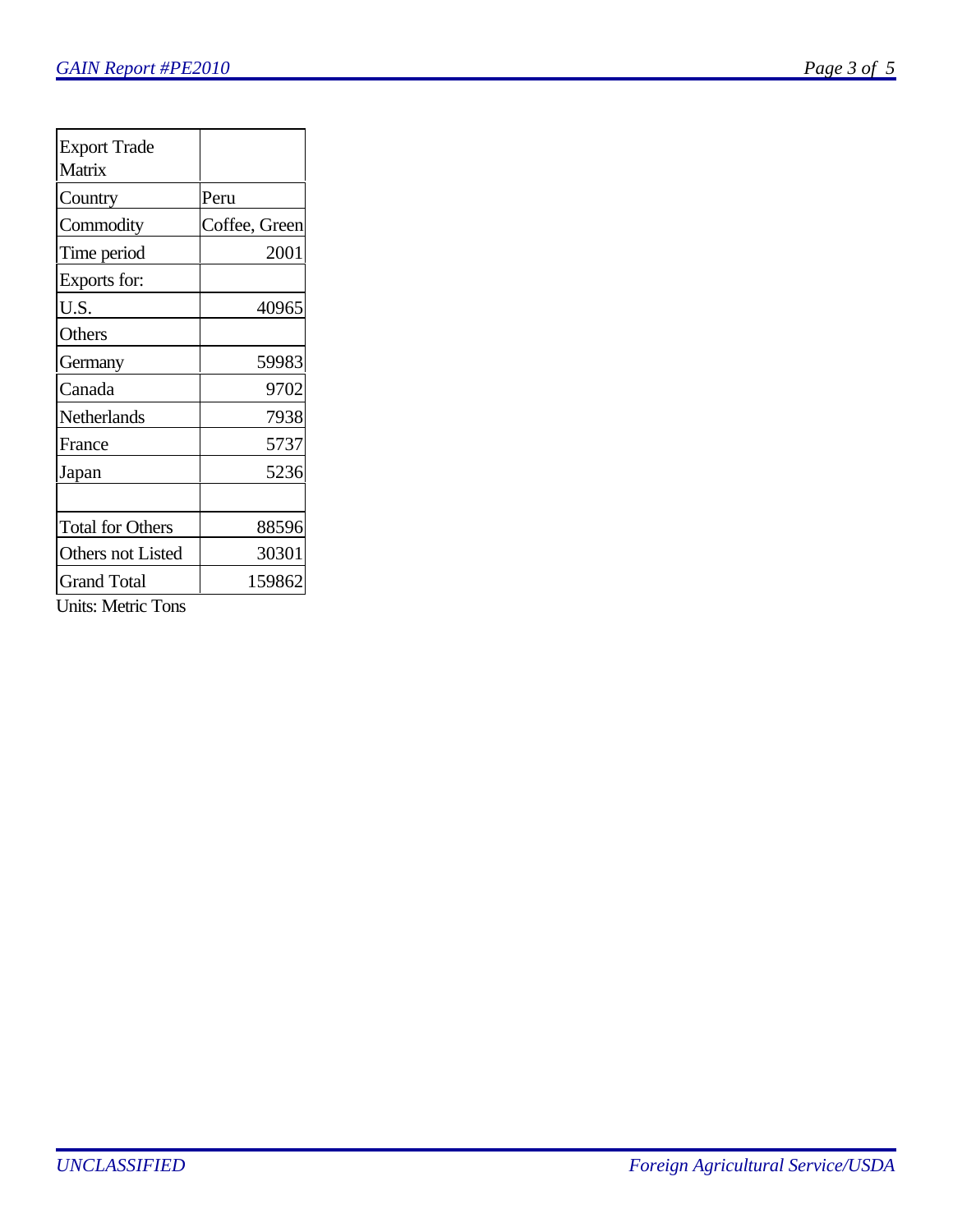| ()<br>πσ<br>,<br>۰.<br>- |  |  |
|--------------------------|--|--|
|                          |  |  |

| <b>Export Trade</b>     |               |
|-------------------------|---------------|
| Matrix                  |               |
| Country                 | Peru          |
| Commodity               | Coffee, Green |
| Time period             | 2001          |
| Exports for:            |               |
| U.S.                    | 40965         |
| Others                  |               |
| Germany                 | 59983         |
| Canada                  | 9702          |
| Netherlands             | 7938          |
| France                  | 5737          |
| Japan                   | 5236          |
|                         |               |
| <b>Total for Others</b> | 88596         |
| Others not Listed       | 30301         |
| Grand Total             | 159862        |

Units: Metric Tons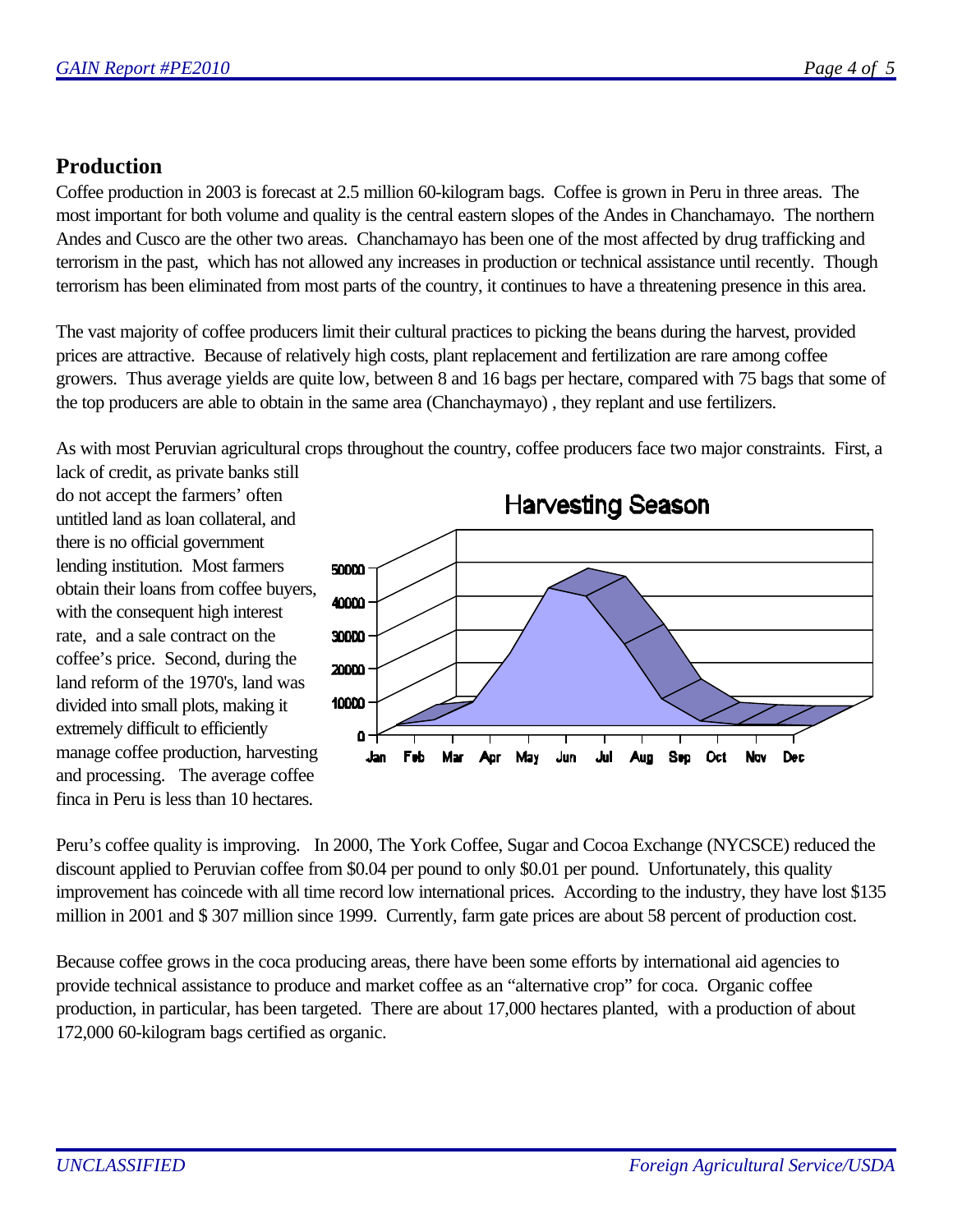## **Production**

Coffee production in 2003 is forecast at 2.5 million 60-kilogram bags. Coffee is grown in Peru in three areas. The most important for both volume and quality is the central eastern slopes of the Andes in Chanchamayo. The northern Andes and Cusco are the other two areas. Chanchamayo has been one of the most affected by drug trafficking and terrorism in the past, which has not allowed any increases in production or technical assistance until recently. Though terrorism has been eliminated from most parts of the country, it continues to have a threatening presence in this area.

The vast majority of coffee producers limit their cultural practices to picking the beans during the harvest, provided prices are attractive. Because of relatively high costs, plant replacement and fertilization are rare among coffee growers. Thus average yields are quite low, between 8 and 16 bags per hectare, compared with 75 bags that some of the top producers are able to obtain in the same area (Chanchaymayo) , they replant and use fertilizers.

As with most Peruvian agricultural crops throughout the country, coffee producers face two major constraints. First, a

lack of credit, as private banks still do not accept the farmers' often untitled land as loan collateral, and there is no official government lending institution. Most farmers obtain their loans from coffee buyers, with the consequent high interest rate, and a sale contract on the coffee's price. Second, during the land reform of the 1970's, land was divided into small plots, making it extremely difficult to efficiently manage coffee production, harvesting and processing. The average coffee finca in Peru is less than 10 hectares.



Peru's coffee quality is improving. In 2000, The York Coffee, Sugar and Cocoa Exchange (NYCSCE) reduced the discount applied to Peruvian coffee from \$0.04 per pound to only \$0.01 per pound. Unfortunately, this quality improvement has coincede with all time record low international prices. According to the industry, they have lost \$135 million in 2001 and \$ 307 million since 1999. Currently, farm gate prices are about 58 percent of production cost.

Because coffee grows in the coca producing areas, there have been some efforts by international aid agencies to provide technical assistance to produce and market coffee as an "alternative crop" for coca. Organic coffee production, in particular, has been targeted. There are about 17,000 hectares planted, with a production of about 172,000 60-kilogram bags certified as organic.